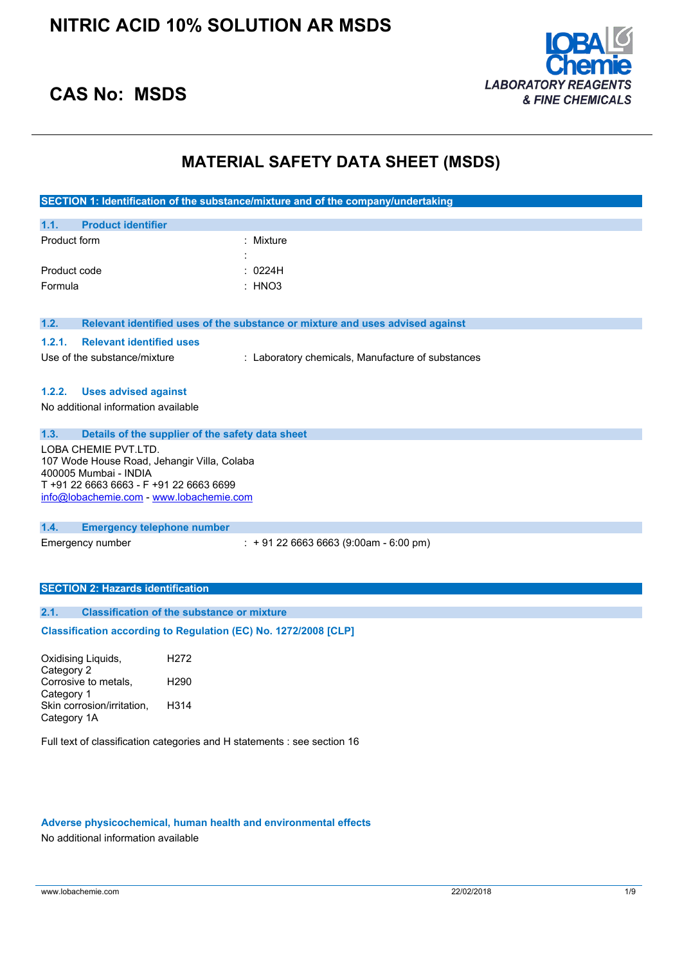

### **CAS No: MSDS**

### **MATERIAL SAFETY DATA SHEET (MSDS)**

| SECTION 1: Identification of the substance/mixture and of the company/undertaking                                                                                                   |                                                                               |  |  |
|-------------------------------------------------------------------------------------------------------------------------------------------------------------------------------------|-------------------------------------------------------------------------------|--|--|
| <b>Product identifier</b><br>1.1.                                                                                                                                                   |                                                                               |  |  |
| Product form                                                                                                                                                                        | Mixture                                                                       |  |  |
| Product code                                                                                                                                                                        | 0224H                                                                         |  |  |
| Formula                                                                                                                                                                             | : HNO3                                                                        |  |  |
|                                                                                                                                                                                     |                                                                               |  |  |
| 1.2.                                                                                                                                                                                | Relevant identified uses of the substance or mixture and uses advised against |  |  |
| 1.2.1.<br><b>Relevant identified uses</b>                                                                                                                                           |                                                                               |  |  |
| Use of the substance/mixture                                                                                                                                                        | : Laboratory chemicals, Manufacture of substances                             |  |  |
|                                                                                                                                                                                     |                                                                               |  |  |
| 1.2.2.<br><b>Uses advised against</b>                                                                                                                                               |                                                                               |  |  |
| No additional information available                                                                                                                                                 |                                                                               |  |  |
| 1.3.                                                                                                                                                                                | Details of the supplier of the safety data sheet                              |  |  |
| LOBA CHEMIE PVT.LTD.<br>107 Wode House Road, Jehangir Villa, Colaba<br>400005 Mumbai - INDIA<br>T +91 22 6663 6663 - F +91 22 6663 6699<br>info@lobachemie.com - www.lobachemie.com |                                                                               |  |  |
| 1.4.<br><b>Emergency telephone number</b>                                                                                                                                           |                                                                               |  |  |
| Emergency number                                                                                                                                                                    | $: +912266636663(9:00am - 6:00 pm)$                                           |  |  |
|                                                                                                                                                                                     |                                                                               |  |  |
| <b>SECTION 2: Hazards identification</b>                                                                                                                                            |                                                                               |  |  |
|                                                                                                                                                                                     |                                                                               |  |  |
| 2.1.                                                                                                                                                                                | <b>Classification of the substance or mixture</b>                             |  |  |
|                                                                                                                                                                                     | Classification according to Regulation (EC) No. 1272/2008 [CLP]               |  |  |
| Oxidising Liquids,<br>H <sub>2</sub> 72                                                                                                                                             |                                                                               |  |  |
| Category 2<br>Corrosive to metals,<br>H <sub>290</sub>                                                                                                                              |                                                                               |  |  |
| Category 1                                                                                                                                                                          |                                                                               |  |  |
| H314<br>Skin corrosion/irritation,<br>Category 1A                                                                                                                                   |                                                                               |  |  |
|                                                                                                                                                                                     |                                                                               |  |  |
|                                                                                                                                                                                     | Full text of classification categories and H statements : see section 16      |  |  |
|                                                                                                                                                                                     |                                                                               |  |  |

### **Adverse physicochemical, human health and environmental effects**

No additional information available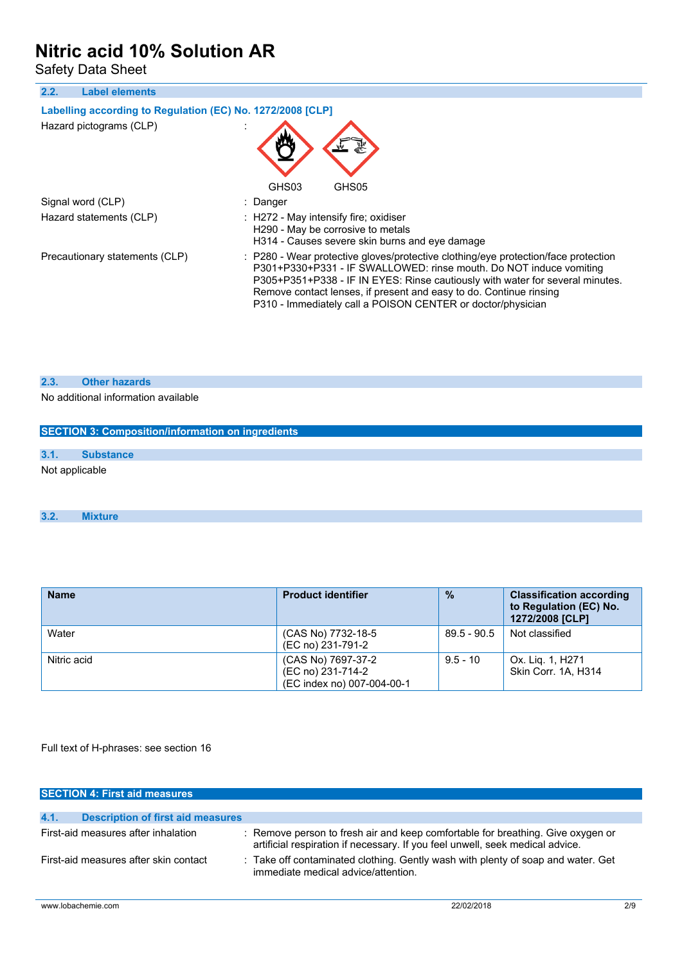Safety Data Sheet

| <b>Label elements</b><br>2.2.                                                         |                                                                                                                                                                                                                                                                                                                                                                                |
|---------------------------------------------------------------------------------------|--------------------------------------------------------------------------------------------------------------------------------------------------------------------------------------------------------------------------------------------------------------------------------------------------------------------------------------------------------------------------------|
| Labelling according to Regulation (EC) No. 1272/2008 [CLP]<br>Hazard pictograms (CLP) |                                                                                                                                                                                                                                                                                                                                                                                |
|                                                                                       | GHS03<br>GHS05                                                                                                                                                                                                                                                                                                                                                                 |
| Signal word (CLP)                                                                     | : Danger                                                                                                                                                                                                                                                                                                                                                                       |
| Hazard statements (CLP)                                                               | $\therefore$ H272 - May intensify fire; oxidiser<br>H290 - May be corrosive to metals<br>H314 - Causes severe skin burns and eye damage                                                                                                                                                                                                                                        |
| Precautionary statements (CLP)                                                        | : P280 - Wear protective gloves/protective clothing/eye protection/face protection<br>P301+P330+P331 - IF SWALLOWED: rinse mouth. Do NOT induce vomiting<br>P305+P351+P338 - IF IN EYES: Rinse cautiously with water for several minutes.<br>Remove contact lenses, if present and easy to do. Continue rinsing<br>P310 - Immediately call a POISON CENTER or doctor/physician |

### **2.3. Other hazards**

No additional information available

| <b>SECTION 3: Composition/information on ingredients</b> |                  |  |  |
|----------------------------------------------------------|------------------|--|--|
|                                                          |                  |  |  |
| 3.1.                                                     | <b>Substance</b> |  |  |
| Not applicable                                           |                  |  |  |

### **3.2. Mixture**

| <b>Name</b> | <b>Product identifier</b>                                             | $\frac{9}{6}$ | <b>Classification according</b><br>to Regulation (EC) No.<br>1272/2008 [CLP] |
|-------------|-----------------------------------------------------------------------|---------------|------------------------------------------------------------------------------|
| Water       | (CAS No) 7732-18-5<br>(EC no) 231-791-2                               | $89.5 - 90.5$ | Not classified                                                               |
| Nitric acid | (CAS No) 7697-37-2<br>(EC no) 231-714-2<br>(EC index no) 007-004-00-1 | $9.5 - 10$    | Ox. Lig. 1, H271<br>Skin Corr. 1A, H314                                      |

Full text of H-phrases: see section 16

| <b>SECTION 4: First aid measures</b>             |                                                                                                                                                                  |
|--------------------------------------------------|------------------------------------------------------------------------------------------------------------------------------------------------------------------|
|                                                  |                                                                                                                                                                  |
| 4.1.<br><b>Description of first aid measures</b> |                                                                                                                                                                  |
| First-aid measures after inhalation              | : Remove person to fresh air and keep comfortable for breathing. Give oxygen or<br>artificial respiration if necessary. If you feel unwell, seek medical advice. |
| First-aid measures after skin contact            | : Take off contaminated clothing. Gently wash with plenty of soap and water. Get<br>immediate medical advice/attention.                                          |
|                                                  |                                                                                                                                                                  |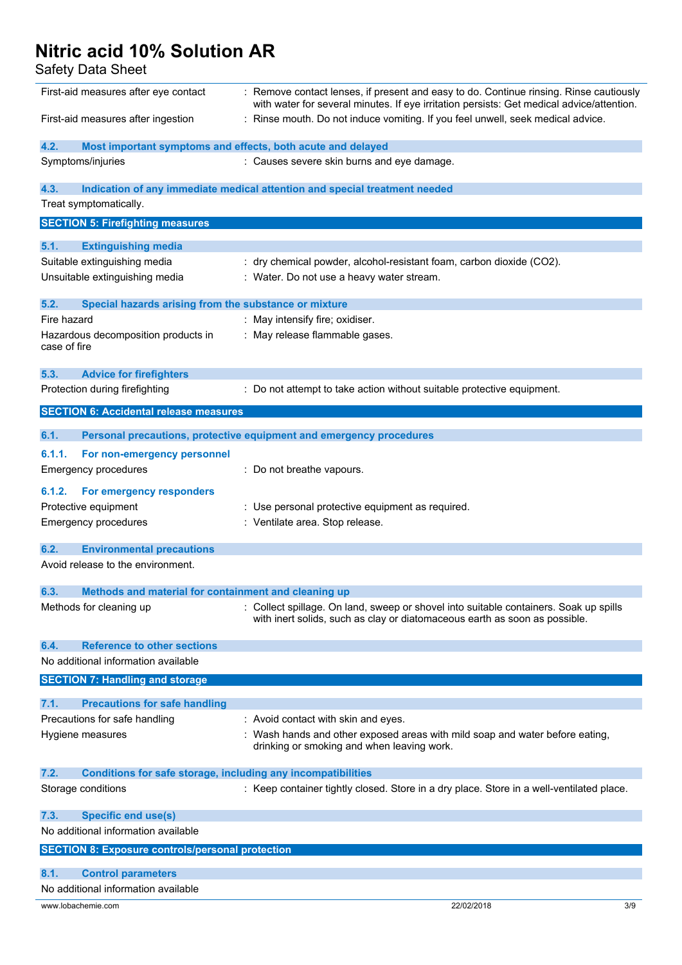Safety Data Sheet

| First-aid measures after eye contact                                        | : Remove contact lenses, if present and easy to do. Continue rinsing. Rinse cautiously<br>with water for several minutes. If eye irritation persists: Get medical advice/attention. |
|-----------------------------------------------------------------------------|-------------------------------------------------------------------------------------------------------------------------------------------------------------------------------------|
| First-aid measures after ingestion                                          | : Rinse mouth. Do not induce vomiting. If you feel unwell, seek medical advice.                                                                                                     |
| 4.2.<br>Most important symptoms and effects, both acute and delayed         |                                                                                                                                                                                     |
| Symptoms/injuries                                                           | : Causes severe skin burns and eye damage.                                                                                                                                          |
| 4.3.                                                                        | Indication of any immediate medical attention and special treatment needed                                                                                                          |
| Treat symptomatically.                                                      |                                                                                                                                                                                     |
| <b>SECTION 5: Firefighting measures</b>                                     |                                                                                                                                                                                     |
| 5.1.                                                                        |                                                                                                                                                                                     |
| <b>Extinguishing media</b><br>Suitable extinguishing media                  | : dry chemical powder, alcohol-resistant foam, carbon dioxide (CO2).                                                                                                                |
| Unsuitable extinguishing media                                              | : Water. Do not use a heavy water stream.                                                                                                                                           |
|                                                                             |                                                                                                                                                                                     |
| 5.2.<br>Special hazards arising from the substance or mixture               |                                                                                                                                                                                     |
| Fire hazard                                                                 | : May intensify fire; oxidiser.                                                                                                                                                     |
| Hazardous decomposition products in                                         | : May release flammable gases.                                                                                                                                                      |
| case of fire                                                                |                                                                                                                                                                                     |
| 5.3.<br><b>Advice for firefighters</b>                                      |                                                                                                                                                                                     |
| Protection during firefighting                                              | : Do not attempt to take action without suitable protective equipment.                                                                                                              |
|                                                                             |                                                                                                                                                                                     |
| <b>SECTION 6: Accidental release measures</b>                               |                                                                                                                                                                                     |
| 6.1.                                                                        | Personal precautions, protective equipment and emergency procedures                                                                                                                 |
| 6.1.1.<br>For non-emergency personnel                                       |                                                                                                                                                                                     |
| <b>Emergency procedures</b>                                                 | : Do not breathe vapours.                                                                                                                                                           |
|                                                                             |                                                                                                                                                                                     |
| 6.1.2.<br>For emergency responders                                          |                                                                                                                                                                                     |
| Protective equipment<br><b>Emergency procedures</b>                         | : Use personal protective equipment as required.<br>: Ventilate area. Stop release.                                                                                                 |
|                                                                             |                                                                                                                                                                                     |
| 6.2.<br><b>Environmental precautions</b>                                    |                                                                                                                                                                                     |
| Avoid release to the environment.                                           |                                                                                                                                                                                     |
|                                                                             |                                                                                                                                                                                     |
| 6.3.<br>Methods and material for containment and cleaning up                |                                                                                                                                                                                     |
| Methods for cleaning up                                                     | : Collect spillage. On land, sweep or shovel into suitable containers. Soak up spills<br>with inert solids, such as clay or diatomaceous earth as soon as possible.                 |
|                                                                             |                                                                                                                                                                                     |
| <b>Reference to other sections</b><br>6.4.                                  |                                                                                                                                                                                     |
| No additional information available                                         |                                                                                                                                                                                     |
| <b>SECTION 7: Handling and storage</b>                                      |                                                                                                                                                                                     |
| 7.1.<br><b>Precautions for safe handling</b>                                |                                                                                                                                                                                     |
| Precautions for safe handling                                               | : Avoid contact with skin and eyes.                                                                                                                                                 |
| Hygiene measures                                                            | : Wash hands and other exposed areas with mild soap and water before eating,                                                                                                        |
|                                                                             | drinking or smoking and when leaving work.                                                                                                                                          |
|                                                                             |                                                                                                                                                                                     |
| 7.2.<br><b>Conditions for safe storage, including any incompatibilities</b> |                                                                                                                                                                                     |
| Storage conditions                                                          | : Keep container tightly closed. Store in a dry place. Store in a well-ventilated place.                                                                                            |
| <b>Specific end use(s)</b><br>7.3.                                          |                                                                                                                                                                                     |
| No additional information available                                         |                                                                                                                                                                                     |
| <b>SECTION 8: Exposure controls/personal protection</b>                     |                                                                                                                                                                                     |
|                                                                             |                                                                                                                                                                                     |
| 8.1.<br><b>Control parameters</b>                                           |                                                                                                                                                                                     |
| No additional information available                                         |                                                                                                                                                                                     |
| www.lobachemie.com                                                          | 22/02/2018<br>3/9                                                                                                                                                                   |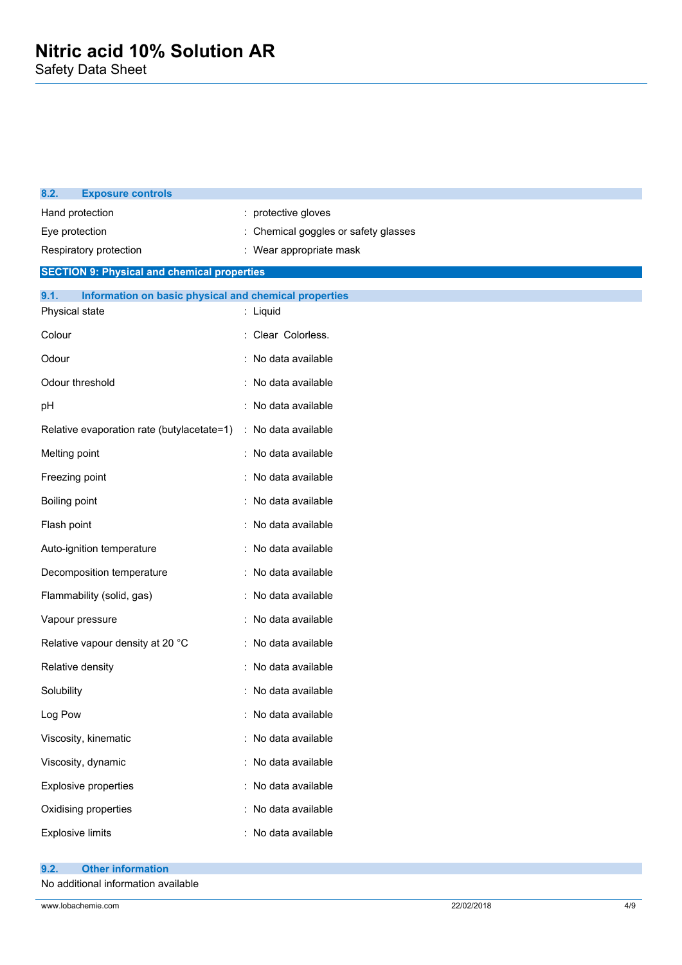| 8.2.<br><b>Exposure controls</b>                              |                                    |
|---------------------------------------------------------------|------------------------------------|
| Hand protection                                               | : protective gloves                |
| Eye protection                                                | Chemical goggles or safety glasses |
| Respiratory protection                                        | Wear appropriate mask              |
| <b>SECTION 9: Physical and chemical properties</b>            |                                    |
| 9.1.<br>Information on basic physical and chemical properties |                                    |
| Physical state                                                | : Liquid                           |
| Colour                                                        | : Clear Colorless.                 |
| Odour                                                         | : No data available                |
| Odour threshold                                               | : No data available                |
| pH                                                            | : No data available                |
| Relative evaporation rate (butylacetate=1)                    | : No data available                |
| Melting point                                                 | No data available                  |
| Freezing point                                                | No data available                  |
| <b>Boiling point</b>                                          | No data available                  |
| Flash point                                                   | : No data available                |
| Auto-ignition temperature                                     | No data available                  |
| Decomposition temperature                                     | : No data available                |
| Flammability (solid, gas)                                     | : No data available                |
| Vapour pressure                                               | No data available                  |
| Relative vapour density at 20 °C                              | : No data available                |
| Relative density                                              | No data available                  |
| Solubility                                                    | : No data available                |
| Log Pow                                                       | No data available                  |
| Viscosity, kinematic                                          | No data available                  |
| Viscosity, dynamic                                            | : No data available                |
| Explosive properties                                          | : No data available                |
| Oxidising properties                                          | No data available                  |
| <b>Explosive limits</b>                                       | No data available                  |
|                                                               |                                    |

No additional information available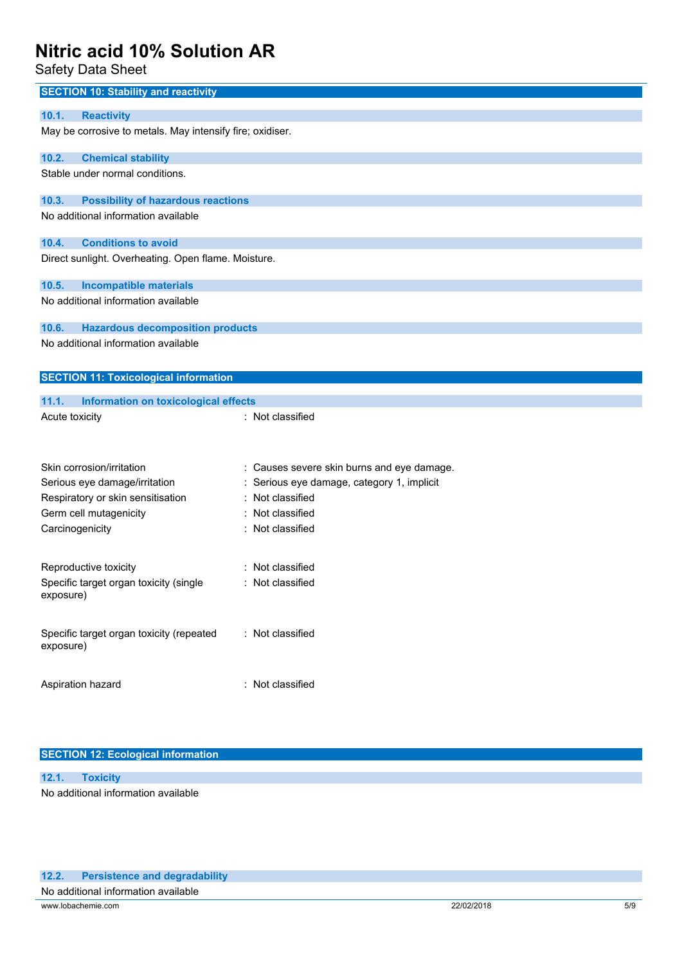Safety Data Sheet

| <b>SECTION 10: Stability and reactivity</b>               |                                            |  |
|-----------------------------------------------------------|--------------------------------------------|--|
| 10.1.<br><b>Reactivity</b>                                |                                            |  |
| May be corrosive to metals. May intensify fire; oxidiser. |                                            |  |
| 10.2.<br><b>Chemical stability</b>                        |                                            |  |
| Stable under normal conditions.                           |                                            |  |
| 10.3.<br><b>Possibility of hazardous reactions</b>        |                                            |  |
| No additional information available                       |                                            |  |
| <b>Conditions to avoid</b><br>10.4.                       |                                            |  |
| Direct sunlight. Overheating. Open flame. Moisture.       |                                            |  |
| <b>Incompatible materials</b><br>10.5.                    |                                            |  |
| No additional information available                       |                                            |  |
| 10.6.<br><b>Hazardous decomposition products</b>          |                                            |  |
| No additional information available                       |                                            |  |
| <b>SECTION 11: Toxicological information</b>              |                                            |  |
| 11.1.<br>Information on toxicological effects             |                                            |  |
| Acute toxicity                                            | : Not classified                           |  |
|                                                           |                                            |  |
| Skin corrosion/irritation                                 | : Causes severe skin burns and eye damage. |  |
| Serious eye damage/irritation                             | Serious eye damage, category 1, implicit   |  |
| Respiratory or skin sensitisation                         | : Not classified                           |  |
| Germ cell mutagenicity                                    | : Not classified                           |  |
| Carcinogenicity                                           | : Not classified                           |  |
| Reproductive toxicity                                     | Not classified                             |  |
| Specific target organ toxicity (single<br>exposure)       | Not classified                             |  |
| Specific target organ toxicity (repeated<br>exposure)     | : Not classified                           |  |
| Aspiration hazard                                         | : Not classified                           |  |

### **SECTION 12: Ecological information**

**12.1. Toxicity** No additional information available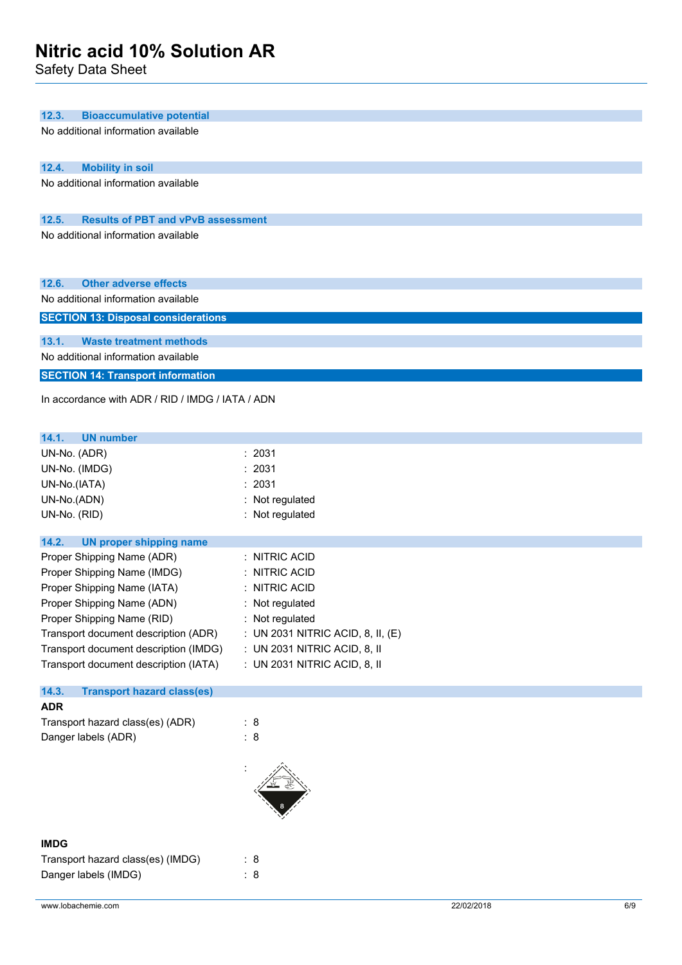Safety Data Sheet

| 12.3.<br><b>Bioaccumulative potential</b>          |                                   |
|----------------------------------------------------|-----------------------------------|
| No additional information available                |                                   |
|                                                    |                                   |
| 12.4.<br><b>Mobility in soil</b>                   |                                   |
| No additional information available                |                                   |
| 12.5.<br><b>Results of PBT and vPvB assessment</b> |                                   |
| No additional information available                |                                   |
|                                                    |                                   |
|                                                    |                                   |
| 12.6.<br><b>Other adverse effects</b>              |                                   |
| No additional information available                |                                   |
| <b>SECTION 13: Disposal considerations</b>         |                                   |
| <b>Waste treatment methods</b><br>13.1.            |                                   |
| No additional information available                |                                   |
| <b>SECTION 14: Transport information</b>           |                                   |
| In accordance with ADR / RID / IMDG / IATA / ADN   |                                   |
|                                                    |                                   |
| 14.1.<br><b>UN number</b>                          |                                   |
| UN-No. (ADR)                                       | : 2031                            |
| UN-No. (IMDG)                                      | : 2031                            |
| UN-No.(IATA)                                       | 2031                              |
| UN-No.(ADN)                                        | : Not regulated                   |
| UN-No. (RID)                                       | : Not regulated                   |
| 14.2.<br><b>UN proper shipping name</b>            |                                   |
| Proper Shipping Name (ADR)                         | : NITRIC ACID                     |
| Proper Shipping Name (IMDG)                        | : NITRIC ACID                     |
| Proper Shipping Name (IATA)                        | : NITRIC ACID                     |
| Proper Shipping Name (ADN)                         | : Not regulated                   |
| Proper Shipping Name (RID)                         | : Not regulated                   |
| Transport document description (ADR)               | : UN 2031 NITRIC ACID, 8, II, (E) |
| Transport document description (IMDG)              | : UN 2031 NITRIC ACID, 8, II      |
| Transport document description (IATA)              | : UN 2031 NITRIC ACID, 8, II      |
| 14.3.<br><b>Transport hazard class(es)</b>         |                                   |
| <b>ADR</b>                                         |                                   |
| Transport hazard class(es) (ADR)                   | : 8                               |
| Danger labels (ADR)                                | : 8                               |
|                                                    |                                   |
|                                                    |                                   |
|                                                    |                                   |
|                                                    |                                   |
| <b>IMDG</b>                                        |                                   |
| Transport hazard class(es) (IMDG)                  | : 8                               |
| Danger labels (IMDG)                               | : 8                               |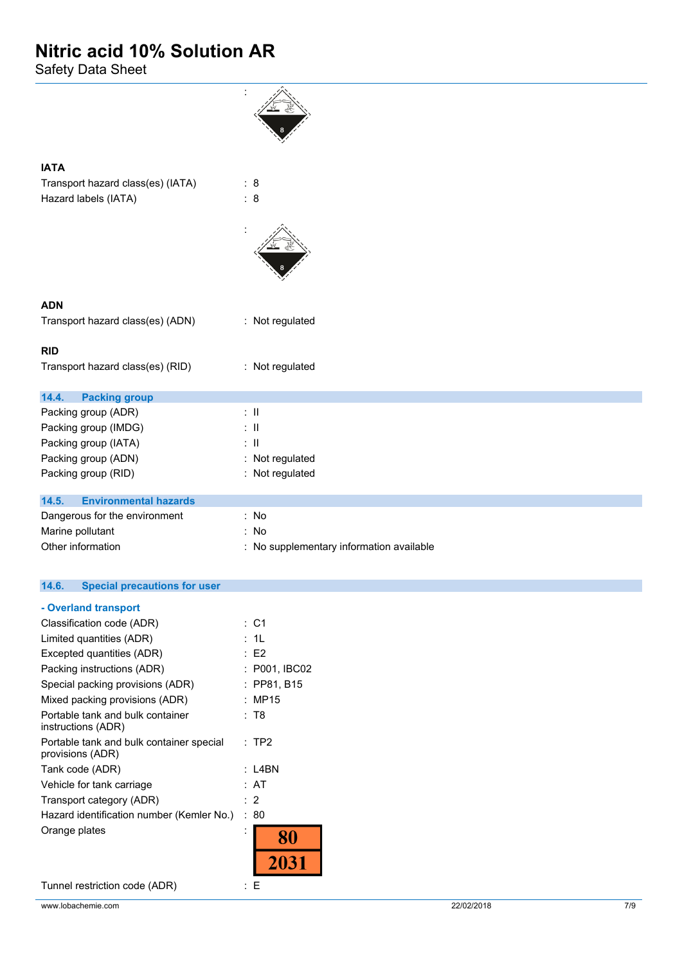Safety Data Sheet

| <b>IATA</b>                           |                                          |
|---------------------------------------|------------------------------------------|
| Transport hazard class(es) (IATA)     | : $8$                                    |
| Hazard labels (IATA)                  | : 8                                      |
|                                       |                                          |
| <b>ADN</b>                            |                                          |
| Transport hazard class(es) (ADN)      | : Not regulated                          |
| <b>RID</b>                            |                                          |
| Transport hazard class(es) (RID)      | : Not regulated                          |
| 14.4.<br><b>Packing group</b>         |                                          |
| Packing group (ADR)                   | $\therefore$ $\parallel$                 |
| Packing group (IMDG)                  | $\therefore$ II                          |
| Packing group (IATA)                  | $\therefore$ 11                          |
| Packing group (ADN)                   | : Not regulated                          |
| Packing group (RID)                   | : Not regulated                          |
| <b>Environmental hazards</b><br>14.5. |                                          |
| Dangerous for the environment         | : No                                     |
| Marine pollutant                      | : No                                     |
| Other information                     | : No supplementary information available |

#### $14.6.$ **14.6. Special precautions for user**

| - Overland transport                                         |                |               |
|--------------------------------------------------------------|----------------|---------------|
| Classification code (ADR)                                    |                | :C1           |
| Limited quantities (ADR)                                     |                | : 1L          |
| Excepted quantities (ADR)                                    |                | E2            |
| Packing instructions (ADR)                                   |                | : P001, IBC02 |
| Special packing provisions (ADR)                             |                | : PP81, B15   |
| Mixed packing provisions (ADR)                               |                | : MP15        |
| Portable tank and bulk container<br>instructions (ADR)       |                | : T8          |
| Portable tank and bulk container special<br>provisions (ADR) |                | : TP2         |
| Tank code (ADR)                                              |                | : L4BN        |
| Vehicle for tank carriage                                    |                | : AT          |
| Transport category (ADR)                                     |                | : 2           |
| Hazard identification number (Kemler No.)                    |                | :80           |
| Orange plates                                                | $\overline{a}$ |               |
|                                                              |                |               |
|                                                              |                |               |

Tunnel restriction code (ADR) : E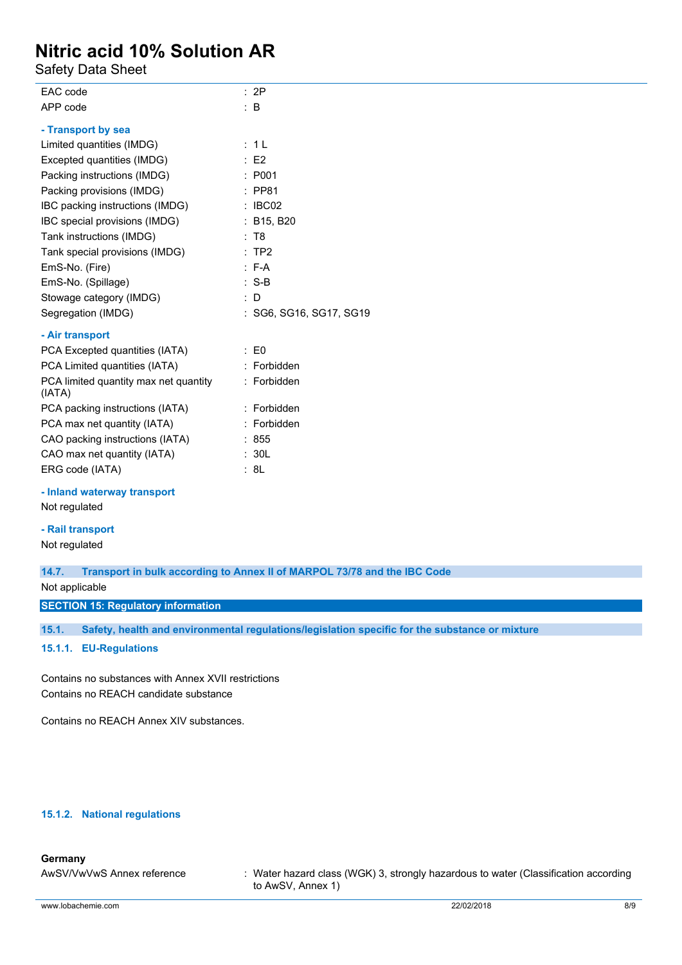Safety Data Sheet

| EAC code                                        | : 2P                    |
|-------------------------------------------------|-------------------------|
| APP code                                        | $\therefore$ B          |
| - Transport by sea                              |                         |
| Limited quantities (IMDG)                       | : 1L                    |
| Excepted quantities (IMDG)                      | $\therefore$ E2         |
| Packing instructions (IMDG)                     | : P001                  |
| Packing provisions (IMDG)                       | $:$ PP81                |
| IBC packing instructions (IMDG)                 | $\therefore$ IBC02      |
| IBC special provisions (IMDG)                   | : B15, B20              |
| Tank instructions (IMDG)                        | : T8                    |
| Tank special provisions (IMDG)                  | :TP2                    |
| EmS-No. (Fire)                                  | $E - A$                 |
| EmS-No. (Spillage)                              | $: S-B$                 |
| Stowage category (IMDG)                         | $\therefore$ D          |
| Segregation (IMDG)                              | : SG6, SG16, SG17, SG19 |
| - Air transport                                 |                         |
| PCA Excepted quantities (IATA)                  | $\therefore$ EO         |
| PCA Limited quantities (IATA)                   | : Forbidden             |
| PCA limited quantity max net quantity<br>(IATA) | : Forbidden             |
| PCA packing instructions (IATA)                 | : Forbidden             |
| PCA max net quantity (IATA)                     | : Forbidden             |
| CAO packing instructions (IATA)                 | : 855                   |
| CAO max net quantity (IATA)                     | : 30L                   |
| ERG code (IATA)                                 | : 8L                    |

### **- Inland waterway transport** Not regulated

### **- Rail transport**

Not regulated

**14.7. Transport in bulk according to Annex II of MARPOL 73/78 and the IBC Code**

Not applicable

**SECTION 15: Regulatory information**

**15.1. Safety, health and environmental regulations/legislation specific for the substance or mixture**

**15.1.1. EU-Regulations**

Contains no substances with Annex XVII restrictions Contains no REACH candidate substance

Contains no REACH Annex XIV substances.

### **15.1.2. National regulations**

### **Germany**

AwSV/VwVwS Annex reference : Water hazard class (WGK) 3, strongly hazardous to water (Classification according to AwSV, Annex 1)